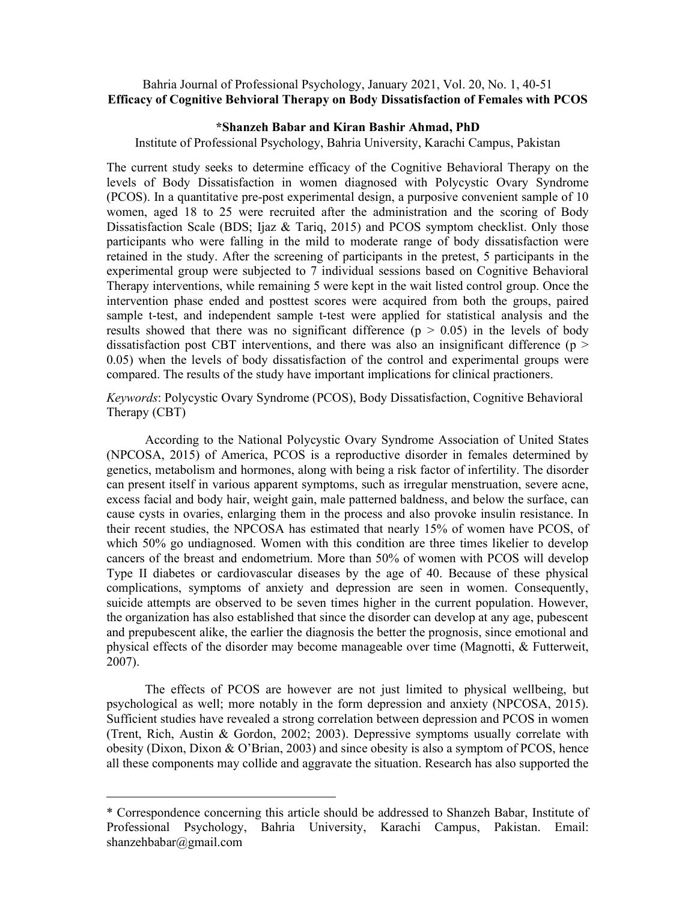# Bahria Journal of Professional Psychology, January 2021, Vol. 20, No. 1, 40-51 Efficacy of Cognitive Behvioral Therapy on Body Dissatisfaction of Females with PCOS

# \*Shanzeh Babar and Kiran Bashir Ahmad, PhD

Institute of Professional Psychology, Bahria University, Karachi Campus, Pakistan

The current study seeks to determine efficacy of the Cognitive Behavioral Therapy on the levels of Body Dissatisfaction in women diagnosed with Polycystic Ovary Syndrome (PCOS). In a quantitative pre-post experimental design, a purposive convenient sample of 10 women, aged 18 to 25 were recruited after the administration and the scoring of Body Dissatisfaction Scale (BDS; Ijaz & Tariq, 2015) and PCOS symptom checklist. Only those participants who were falling in the mild to moderate range of body dissatisfaction were retained in the study. After the screening of participants in the pretest, 5 participants in the experimental group were subjected to 7 individual sessions based on Cognitive Behavioral Therapy interventions, while remaining 5 were kept in the wait listed control group. Once the intervention phase ended and posttest scores were acquired from both the groups, paired sample t-test, and independent sample t-test were applied for statistical analysis and the results showed that there was no significant difference  $(p > 0.05)$  in the levels of body dissatisfaction post CBT interventions, and there was also an insignificant difference ( $p >$ 0.05) when the levels of body dissatisfaction of the control and experimental groups were compared. The results of the study have important implications for clinical practioners.

Keywords: Polycystic Ovary Syndrome (PCOS), Body Dissatisfaction, Cognitive Behavioral Therapy (CBT)

According to the National Polycystic Ovary Syndrome Association of United States (NPCOSA, 2015) of America, PCOS is a reproductive disorder in females determined by genetics, metabolism and hormones, along with being a risk factor of infertility. The disorder can present itself in various apparent symptoms, such as irregular menstruation, severe acne, excess facial and body hair, weight gain, male patterned baldness, and below the surface, can cause cysts in ovaries, enlarging them in the process and also provoke insulin resistance. In their recent studies, the NPCOSA has estimated that nearly 15% of women have PCOS, of which 50% go undiagnosed. Women with this condition are three times likelier to develop cancers of the breast and endometrium. More than 50% of women with PCOS will develop Type II diabetes or cardiovascular diseases by the age of 40. Because of these physical complications, symptoms of anxiety and depression are seen in women. Consequently, suicide attempts are observed to be seven times higher in the current population. However, the organization has also established that since the disorder can develop at any age, pubescent and prepubescent alike, the earlier the diagnosis the better the prognosis, since emotional and physical effects of the disorder may become manageable over time (Magnotti, & Futterweit, 2007).

The effects of PCOS are however are not just limited to physical wellbeing, but psychological as well; more notably in the form depression and anxiety (NPCOSA, 2015). Sufficient studies have revealed a strong correlation between depression and PCOS in women (Trent, Rich, Austin & Gordon, 2002; 2003). Depressive symptoms usually correlate with obesity (Dixon, Dixon & O'Brian, 2003) and since obesity is also a symptom of PCOS, hence all these components may collide and aggravate the situation. Research has also supported the

<sup>\*</sup> Correspondence concerning this article should be addressed to Shanzeh Babar, Institute of Professional Psychology, Bahria University, Karachi Campus, Pakistan. Email: shanzehbabar@gmail.com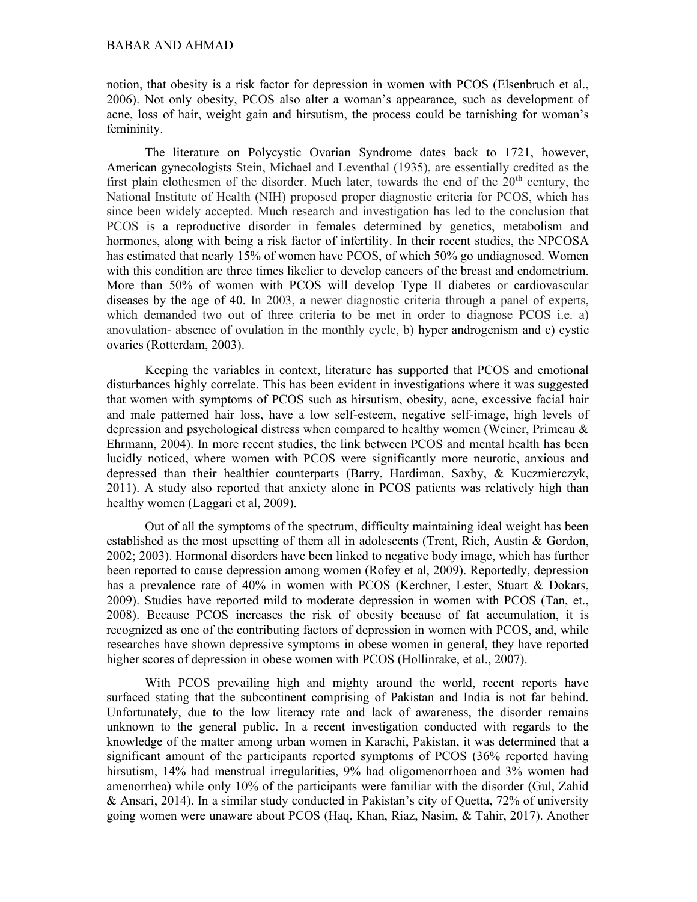### BABAR AND AHMAD

notion, that obesity is a risk factor for depression in women with PCOS (Elsenbruch et al., 2006). Not only obesity, PCOS also alter a woman's appearance, such as development of acne, loss of hair, weight gain and hirsutism, the process could be tarnishing for woman's femininity.

The literature on Polycystic Ovarian Syndrome dates back to 1721, however, American gynecologists Stein, Michael and Leventhal (1935), are essentially credited as the first plain clothesmen of the disorder. Much later, towards the end of the  $20<sup>th</sup>$  century, the National Institute of Health (NIH) proposed proper diagnostic criteria for PCOS, which has since been widely accepted. Much research and investigation has led to the conclusion that PCOS is a reproductive disorder in females determined by genetics, metabolism and hormones, along with being a risk factor of infertility. In their recent studies, the NPCOSA has estimated that nearly 15% of women have PCOS, of which 50% go undiagnosed. Women with this condition are three times likelier to develop cancers of the breast and endometrium. More than 50% of women with PCOS will develop Type II diabetes or cardiovascular diseases by the age of 40. In 2003, a newer diagnostic criteria through a panel of experts, which demanded two out of three criteria to be met in order to diagnose PCOS i.e. a) anovulation- absence of ovulation in the monthly cycle, b) hyper androgenism and c) cystic ovaries (Rotterdam, 2003).

Keeping the variables in context, literature has supported that PCOS and emotional disturbances highly correlate. This has been evident in investigations where it was suggested that women with symptoms of PCOS such as hirsutism, obesity, acne, excessive facial hair and male patterned hair loss, have a low self-esteem, negative self-image, high levels of depression and psychological distress when compared to healthy women (Weiner, Primeau & Ehrmann, 2004). In more recent studies, the link between PCOS and mental health has been lucidly noticed, where women with PCOS were significantly more neurotic, anxious and depressed than their healthier counterparts (Barry, Hardiman, Saxby, & Kuczmierczyk, 2011). A study also reported that anxiety alone in PCOS patients was relatively high than healthy women (Laggari et al, 2009).

Out of all the symptoms of the spectrum, difficulty maintaining ideal weight has been established as the most upsetting of them all in adolescents (Trent, Rich, Austin & Gordon, 2002; 2003). Hormonal disorders have been linked to negative body image, which has further been reported to cause depression among women (Rofey et al, 2009). Reportedly, depression has a prevalence rate of 40% in women with PCOS (Kerchner, Lester, Stuart & Dokars, 2009). Studies have reported mild to moderate depression in women with PCOS (Tan, et., 2008). Because PCOS increases the risk of obesity because of fat accumulation, it is recognized as one of the contributing factors of depression in women with PCOS, and, while researches have shown depressive symptoms in obese women in general, they have reported higher scores of depression in obese women with PCOS (Hollinrake, et al., 2007).

With PCOS prevailing high and mighty around the world, recent reports have surfaced stating that the subcontinent comprising of Pakistan and India is not far behind. Unfortunately, due to the low literacy rate and lack of awareness, the disorder remains unknown to the general public. In a recent investigation conducted with regards to the knowledge of the matter among urban women in Karachi, Pakistan, it was determined that a significant amount of the participants reported symptoms of PCOS (36% reported having hirsutism, 14% had menstrual irregularities, 9% had oligomenorrhoea and 3% women had amenorrhea) while only 10% of the participants were familiar with the disorder (Gul, Zahid & Ansari, 2014). In a similar study conducted in Pakistan's city of Quetta, 72% of university going women were unaware about PCOS (Haq, Khan, Riaz, Nasim, & Tahir, 2017). Another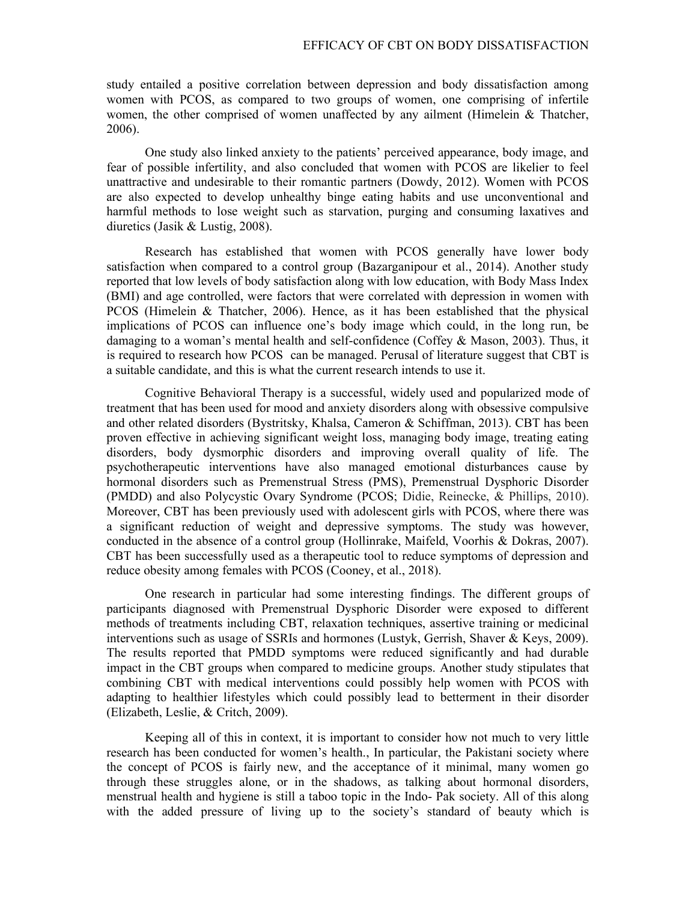study entailed a positive correlation between depression and body dissatisfaction among women with PCOS, as compared to two groups of women, one comprising of infertile women, the other comprised of women unaffected by any ailment (Himelein & Thatcher, 2006).

One study also linked anxiety to the patients' perceived appearance, body image, and fear of possible infertility, and also concluded that women with PCOS are likelier to feel unattractive and undesirable to their romantic partners (Dowdy, 2012). Women with PCOS are also expected to develop unhealthy binge eating habits and use unconventional and harmful methods to lose weight such as starvation, purging and consuming laxatives and diuretics (Jasik & Lustig, 2008).

Research has established that women with PCOS generally have lower body satisfaction when compared to a control group (Bazarganipour et al., 2014). Another study reported that low levels of body satisfaction along with low education, with Body Mass Index (BMI) and age controlled, were factors that were correlated with depression in women with PCOS (Himelein & Thatcher, 2006). Hence, as it has been established that the physical implications of PCOS can influence one's body image which could, in the long run, be damaging to a woman's mental health and self-confidence (Coffey & Mason, 2003). Thus, it is required to research how PCOS can be managed. Perusal of literature suggest that CBT is a suitable candidate, and this is what the current research intends to use it.

Cognitive Behavioral Therapy is a successful, widely used and popularized mode of treatment that has been used for mood and anxiety disorders along with obsessive compulsive and other related disorders (Bystritsky, Khalsa, Cameron & Schiffman, 2013). CBT has been proven effective in achieving significant weight loss, managing body image, treating eating disorders, body dysmorphic disorders and improving overall quality of life. The psychotherapeutic interventions have also managed emotional disturbances cause by hormonal disorders such as Premenstrual Stress (PMS), Premenstrual Dysphoric Disorder (PMDD) and also Polycystic Ovary Syndrome (PCOS; Didie, Reinecke, & Phillips, 2010). Moreover, CBT has been previously used with adolescent girls with PCOS, where there was a significant reduction of weight and depressive symptoms. The study was however, conducted in the absence of a control group (Hollinrake, Maifeld, Voorhis & Dokras, 2007). CBT has been successfully used as a therapeutic tool to reduce symptoms of depression and reduce obesity among females with PCOS (Cooney, et al., 2018).

One research in particular had some interesting findings. The different groups of participants diagnosed with Premenstrual Dysphoric Disorder were exposed to different methods of treatments including CBT, relaxation techniques, assertive training or medicinal interventions such as usage of SSRIs and hormones (Lustyk, Gerrish, Shaver & Keys, 2009). The results reported that PMDD symptoms were reduced significantly and had durable impact in the CBT groups when compared to medicine groups. Another study stipulates that combining CBT with medical interventions could possibly help women with PCOS with adapting to healthier lifestyles which could possibly lead to betterment in their disorder (Elizabeth, Leslie, & Critch, 2009).

Keeping all of this in context, it is important to consider how not much to very little research has been conducted for women's health., In particular, the Pakistani society where the concept of PCOS is fairly new, and the acceptance of it minimal, many women go through these struggles alone, or in the shadows, as talking about hormonal disorders, menstrual health and hygiene is still a taboo topic in the Indo- Pak society. All of this along with the added pressure of living up to the society's standard of beauty which is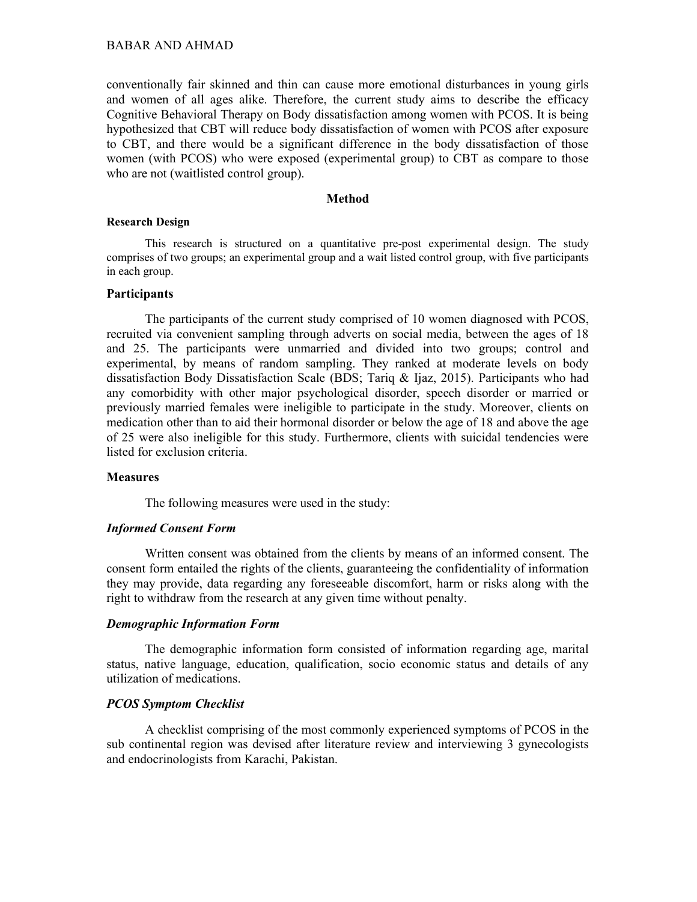conventionally fair skinned and thin can cause more emotional disturbances in young girls and women of all ages alike. Therefore, the current study aims to describe the efficacy Cognitive Behavioral Therapy on Body dissatisfaction among women with PCOS. It is being hypothesized that CBT will reduce body dissatisfaction of women with PCOS after exposure to CBT, and there would be a significant difference in the body dissatisfaction of those women (with PCOS) who were exposed (experimental group) to CBT as compare to those who are not (waitlisted control group).

### **Method**

#### Research Design

This research is structured on a quantitative pre-post experimental design. The study comprises of two groups; an experimental group and a wait listed control group, with five participants in each group.

# Participants

The participants of the current study comprised of 10 women diagnosed with PCOS, recruited via convenient sampling through adverts on social media, between the ages of 18 and 25. The participants were unmarried and divided into two groups; control and experimental, by means of random sampling. They ranked at moderate levels on body dissatisfaction Body Dissatisfaction Scale (BDS; Tariq & Ijaz, 2015). Participants who had any comorbidity with other major psychological disorder, speech disorder or married or previously married females were ineligible to participate in the study. Moreover, clients on medication other than to aid their hormonal disorder or below the age of 18 and above the age of 25 were also ineligible for this study. Furthermore, clients with suicidal tendencies were listed for exclusion criteria.

#### **Measures**

The following measures were used in the study:

### Informed Consent Form

Written consent was obtained from the clients by means of an informed consent. The consent form entailed the rights of the clients, guaranteeing the confidentiality of information they may provide, data regarding any foreseeable discomfort, harm or risks along with the right to withdraw from the research at any given time without penalty.

#### Demographic Information Form

The demographic information form consisted of information regarding age, marital status, native language, education, qualification, socio economic status and details of any utilization of medications.

## PCOS Symptom Checklist

A checklist comprising of the most commonly experienced symptoms of PCOS in the sub continental region was devised after literature review and interviewing 3 gynecologists and endocrinologists from Karachi, Pakistan.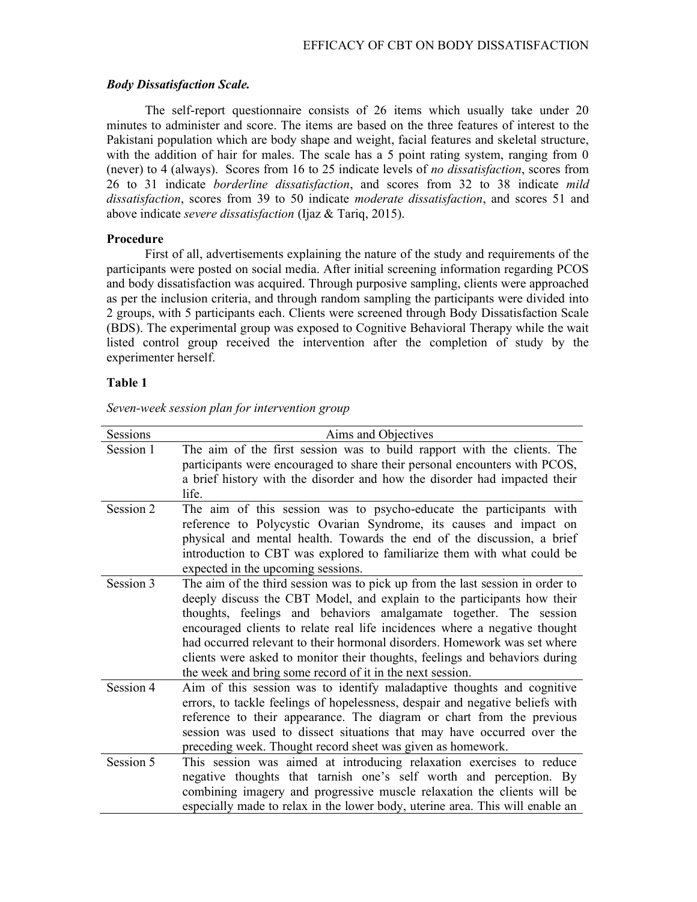### Body Dissatisfaction Scale.

The self-report questionnaire consists of 26 items which usually take under 20 minutes to administer and score. The items are based on the three features of interest to the Pakistani population which are body shape and weight, facial features and skeletal structure, with the addition of hair for males. The scale has a 5 point rating system, ranging from 0 (never) to 4 (always). Scores from 16 to 25 indicate levels of no dissatisfaction, scores from 26 to 31 indicate borderline dissatisfaction, and scores from 32 to 38 indicate mild dissatisfaction, scores from 39 to 50 indicate *moderate dissatisfaction*, and scores 51 and above indicate severe dissatisfaction (Ijaz & Tariq, 2015).

#### Procedure

First of all, advertisements explaining the nature of the study and requirements of the participants were posted on social media. After initial screening information regarding PCOS and body dissatisfaction was acquired. Through purposive sampling, clients were approached as per the inclusion criteria, and through random sampling the participants were divided into 2 groups, with 5 participants each. Clients were screened through Body Dissatisfaction Scale (BDS). The experimental group was exposed to Cognitive Behavioral Therapy while the wait listed control group received the intervention after the completion of study by the experimenter herself.

## Table 1

| Sessions  | Aims and Objectives                                                           |
|-----------|-------------------------------------------------------------------------------|
| Session 1 | The aim of the first session was to build rapport with the clients. The       |
|           | participants were encouraged to share their personal encounters with PCOS,    |
|           | a brief history with the disorder and how the disorder had impacted their     |
|           | life.                                                                         |
| Session 2 | The aim of this session was to psycho-educate the participants with           |
|           | reference to Polycystic Ovarian Syndrome, its causes and impact on            |
|           | physical and mental health. Towards the end of the discussion, a brief        |
|           | introduction to CBT was explored to familiarize them with what could be       |
|           | expected in the upcoming sessions.                                            |
| Session 3 | The aim of the third session was to pick up from the last session in order to |
|           | deeply discuss the CBT Model, and explain to the participants how their       |
|           | thoughts, feelings and behaviors amalgamate together. The session             |
|           | encouraged clients to relate real life incidences where a negative thought    |
|           | had occurred relevant to their hormonal disorders. Homework was set where     |
|           | clients were asked to monitor their thoughts, feelings and behaviors during   |
|           | the week and bring some record of it in the next session.                     |
| Session 4 | Aim of this session was to identify maladaptive thoughts and cognitive        |
|           | errors, to tackle feelings of hopelessness, despair and negative beliefs with |
|           | reference to their appearance. The diagram or chart from the previous         |
|           | session was used to dissect situations that may have occurred over the        |
|           | preceding week. Thought record sheet was given as homework.                   |
| Session 5 | This session was aimed at introducing relaxation exercises to reduce          |
|           | negative thoughts that tarnish one's self worth and perception. By            |
|           | combining imagery and progressive muscle relaxation the clients will be       |
|           | especially made to relax in the lower body, uterine area. This will enable an |

Seven-week session plan for intervention group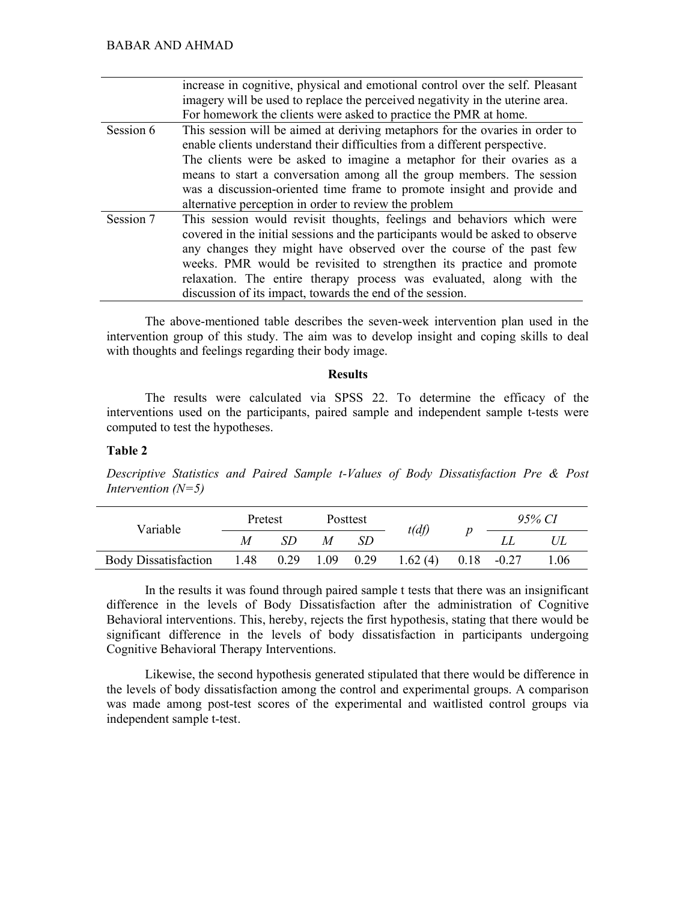|           | increase in cognitive, physical and emotional control over the self. Pleasant<br>imagery will be used to replace the perceived negativity in the uterine area.<br>For homework the clients were asked to practice the PMR at home. |
|-----------|------------------------------------------------------------------------------------------------------------------------------------------------------------------------------------------------------------------------------------|
|           |                                                                                                                                                                                                                                    |
| Session 6 | This session will be aimed at deriving metaphors for the ovaries in order to                                                                                                                                                       |
|           | enable clients understand their difficulties from a different perspective.                                                                                                                                                         |
|           | The clients were be asked to imagine a metaphor for their ovaries as a                                                                                                                                                             |
|           | means to start a conversation among all the group members. The session                                                                                                                                                             |
|           | was a discussion-oriented time frame to promote insight and provide and                                                                                                                                                            |
|           | alternative perception in order to review the problem                                                                                                                                                                              |
| Session 7 | This session would revisit thoughts, feelings and behaviors which were                                                                                                                                                             |
|           | covered in the initial sessions and the participants would be asked to observe                                                                                                                                                     |
|           | any changes they might have observed over the course of the past few                                                                                                                                                               |
|           | weeks. PMR would be revisited to strengthen its practice and promote                                                                                                                                                               |
|           | relaxation. The entire therapy process was evaluated, along with the                                                                                                                                                               |
|           | discussion of its impact, towards the end of the session.                                                                                                                                                                          |

The above-mentioned table describes the seven-week intervention plan used in the intervention group of this study. The aim was to develop insight and coping skills to deal with thoughts and feelings regarding their body image.

## Results

The results were calculated via SPSS 22. To determine the efficacy of the interventions used on the participants, paired sample and independent sample t-tests were computed to test the hypotheses.

# Table 2

Descriptive Statistics and Paired Sample t-Values of Body Dissatisfaction Pre & Post Intervention  $(N=5)$ 

| Variable                    | Pretest   |  | Posttest    |    | t(df)   | 95% CI        |      |
|-----------------------------|-----------|--|-------------|----|---------|---------------|------|
|                             | M         |  | M           | SD |         |               |      |
| <b>Body Dissatisfaction</b> | 1.48 0.29 |  | $1.09$ 0.29 |    | 1.62(4) | $0.18 - 0.27$ | 1.06 |

In the results it was found through paired sample t tests that there was an insignificant difference in the levels of Body Dissatisfaction after the administration of Cognitive Behavioral interventions. This, hereby, rejects the first hypothesis, stating that there would be significant difference in the levels of body dissatisfaction in participants undergoing Cognitive Behavioral Therapy Interventions.

Likewise, the second hypothesis generated stipulated that there would be difference in the levels of body dissatisfaction among the control and experimental groups. A comparison was made among post-test scores of the experimental and waitlisted control groups via independent sample t-test.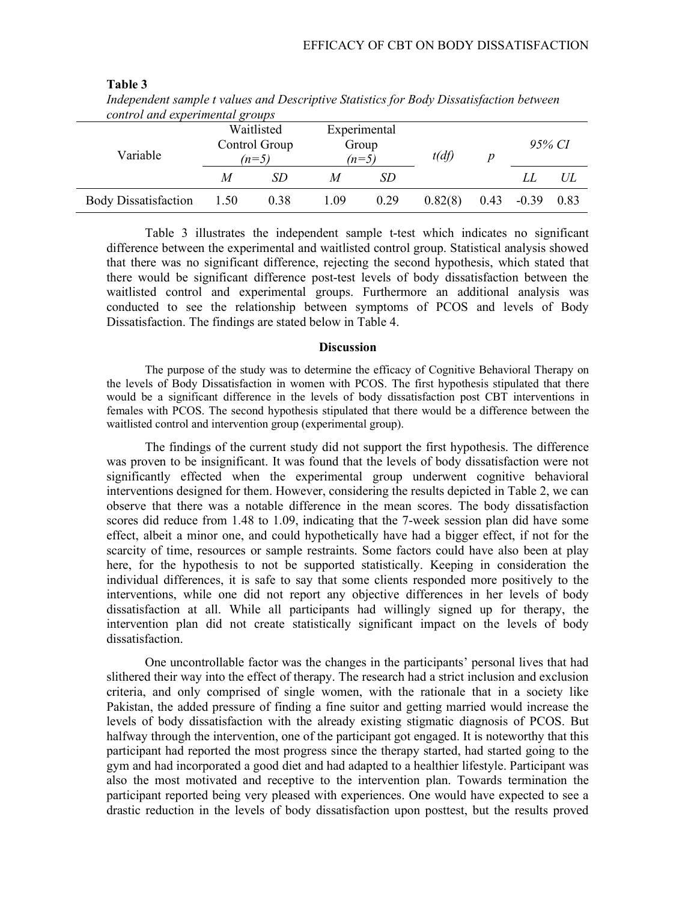| maepenaem sample i values and Descriptive statistics for Douy Dissalisfaction between<br>control and experimental groups |                                        |      |      |                                  |         |                  |         |      |  |
|--------------------------------------------------------------------------------------------------------------------------|----------------------------------------|------|------|----------------------------------|---------|------------------|---------|------|--|
| Variable                                                                                                                 | Waitlisted<br>Control Group<br>$(n=5)$ |      |      | Experimental<br>Group<br>$(n=5)$ | t(df)   | $\boldsymbol{p}$ | 95% CI  |      |  |
|                                                                                                                          | M                                      | SD.  | M    | SD                               |         |                  | LI.     | UL   |  |
| <b>Body Dissatisfaction</b>                                                                                              | 1.50                                   | 0.38 | 1.09 | 0.29                             | 0.82(8) | 0.43             | $-0.39$ | 0.83 |  |

Table 3 Independent sample t values and Descriptive Statistics for Body Dissatisfaction between

Table 3 illustrates the independent sample t-test which indicates no significant difference between the experimental and waitlisted control group. Statistical analysis showed that there was no significant difference, rejecting the second hypothesis, which stated that there would be significant difference post-test levels of body dissatisfaction between the waitlisted control and experimental groups. Furthermore an additional analysis was conducted to see the relationship between symptoms of PCOS and levels of Body Dissatisfaction. The findings are stated below in Table 4.

# Discussion

The purpose of the study was to determine the efficacy of Cognitive Behavioral Therapy on the levels of Body Dissatisfaction in women with PCOS. The first hypothesis stipulated that there would be a significant difference in the levels of body dissatisfaction post CBT interventions in females with PCOS. The second hypothesis stipulated that there would be a difference between the waitlisted control and intervention group (experimental group).

The findings of the current study did not support the first hypothesis. The difference was proven to be insignificant. It was found that the levels of body dissatisfaction were not significantly effected when the experimental group underwent cognitive behavioral interventions designed for them. However, considering the results depicted in Table 2, we can observe that there was a notable difference in the mean scores. The body dissatisfaction scores did reduce from 1.48 to 1.09, indicating that the 7-week session plan did have some effect, albeit a minor one, and could hypothetically have had a bigger effect, if not for the scarcity of time, resources or sample restraints. Some factors could have also been at play here, for the hypothesis to not be supported statistically. Keeping in consideration the individual differences, it is safe to say that some clients responded more positively to the interventions, while one did not report any objective differences in her levels of body dissatisfaction at all. While all participants had willingly signed up for therapy, the intervention plan did not create statistically significant impact on the levels of body dissatisfaction.

One uncontrollable factor was the changes in the participants' personal lives that had slithered their way into the effect of therapy. The research had a strict inclusion and exclusion criteria, and only comprised of single women, with the rationale that in a society like Pakistan, the added pressure of finding a fine suitor and getting married would increase the levels of body dissatisfaction with the already existing stigmatic diagnosis of PCOS. But halfway through the intervention, one of the participant got engaged. It is noteworthy that this participant had reported the most progress since the therapy started, had started going to the gym and had incorporated a good diet and had adapted to a healthier lifestyle. Participant was also the most motivated and receptive to the intervention plan. Towards termination the participant reported being very pleased with experiences. One would have expected to see a drastic reduction in the levels of body dissatisfaction upon posttest, but the results proved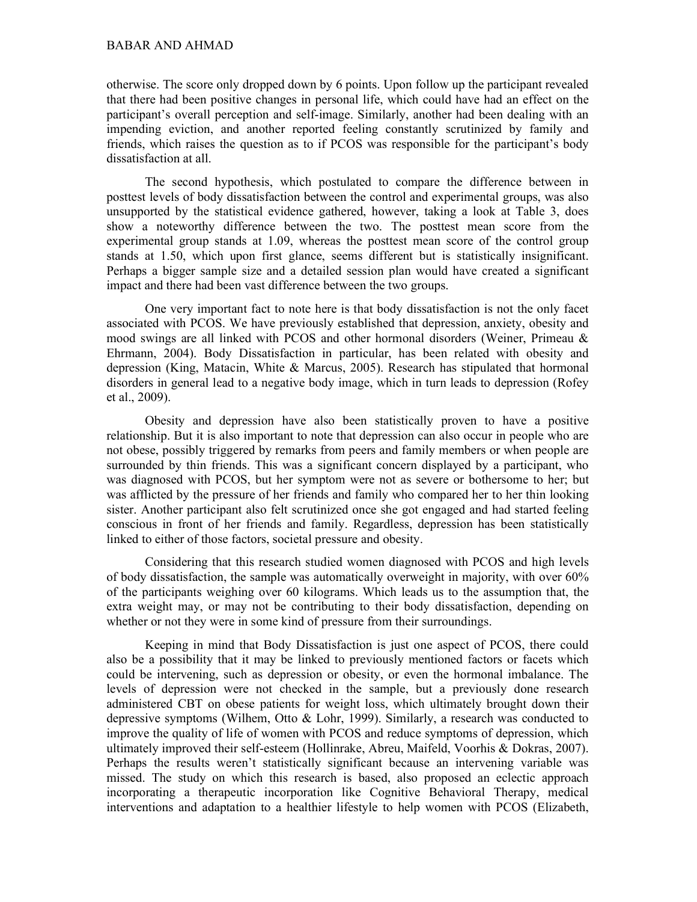### BABAR AND AHMAD

otherwise. The score only dropped down by 6 points. Upon follow up the participant revealed that there had been positive changes in personal life, which could have had an effect on the participant's overall perception and self-image. Similarly, another had been dealing with an impending eviction, and another reported feeling constantly scrutinized by family and friends, which raises the question as to if PCOS was responsible for the participant's body dissatisfaction at all.

The second hypothesis, which postulated to compare the difference between in posttest levels of body dissatisfaction between the control and experimental groups, was also unsupported by the statistical evidence gathered, however, taking a look at Table 3, does show a noteworthy difference between the two. The posttest mean score from the experimental group stands at 1.09, whereas the posttest mean score of the control group stands at 1.50, which upon first glance, seems different but is statistically insignificant. Perhaps a bigger sample size and a detailed session plan would have created a significant impact and there had been vast difference between the two groups.

One very important fact to note here is that body dissatisfaction is not the only facet associated with PCOS. We have previously established that depression, anxiety, obesity and mood swings are all linked with PCOS and other hormonal disorders (Weiner, Primeau & Ehrmann, 2004). Body Dissatisfaction in particular, has been related with obesity and depression (King, Matacin, White & Marcus, 2005). Research has stipulated that hormonal disorders in general lead to a negative body image, which in turn leads to depression (Rofey et al., 2009).

Obesity and depression have also been statistically proven to have a positive relationship. But it is also important to note that depression can also occur in people who are not obese, possibly triggered by remarks from peers and family members or when people are surrounded by thin friends. This was a significant concern displayed by a participant, who was diagnosed with PCOS, but her symptom were not as severe or bothersome to her; but was afflicted by the pressure of her friends and family who compared her to her thin looking sister. Another participant also felt scrutinized once she got engaged and had started feeling conscious in front of her friends and family. Regardless, depression has been statistically linked to either of those factors, societal pressure and obesity.

Considering that this research studied women diagnosed with PCOS and high levels of body dissatisfaction, the sample was automatically overweight in majority, with over 60% of the participants weighing over 60 kilograms. Which leads us to the assumption that, the extra weight may, or may not be contributing to their body dissatisfaction, depending on whether or not they were in some kind of pressure from their surroundings.

Keeping in mind that Body Dissatisfaction is just one aspect of PCOS, there could also be a possibility that it may be linked to previously mentioned factors or facets which could be intervening, such as depression or obesity, or even the hormonal imbalance. The levels of depression were not checked in the sample, but a previously done research administered CBT on obese patients for weight loss, which ultimately brought down their depressive symptoms (Wilhem, Otto & Lohr, 1999). Similarly, a research was conducted to improve the quality of life of women with PCOS and reduce symptoms of depression, which ultimately improved their self-esteem (Hollinrake, Abreu, Maifeld, Voorhis & Dokras, 2007). Perhaps the results weren't statistically significant because an intervening variable was missed. The study on which this research is based, also proposed an eclectic approach incorporating a therapeutic incorporation like Cognitive Behavioral Therapy, medical interventions and adaptation to a healthier lifestyle to help women with PCOS (Elizabeth,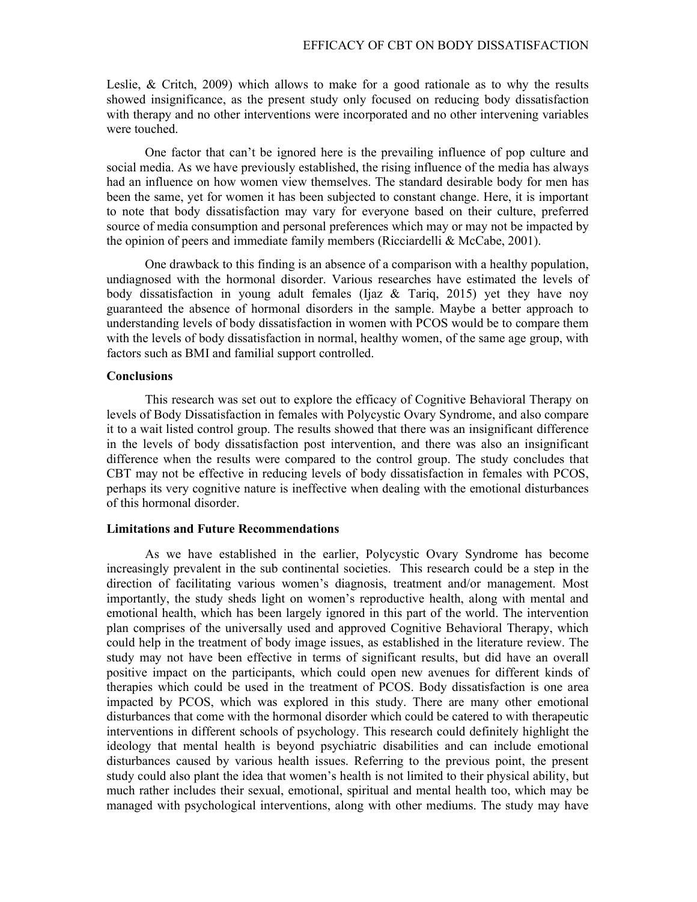Leslie, & Critch, 2009) which allows to make for a good rationale as to why the results showed insignificance, as the present study only focused on reducing body dissatisfaction with therapy and no other interventions were incorporated and no other intervening variables were touched.

One factor that can't be ignored here is the prevailing influence of pop culture and social media. As we have previously established, the rising influence of the media has always had an influence on how women view themselves. The standard desirable body for men has been the same, yet for women it has been subjected to constant change. Here, it is important to note that body dissatisfaction may vary for everyone based on their culture, preferred source of media consumption and personal preferences which may or may not be impacted by the opinion of peers and immediate family members (Ricciardelli & McCabe, 2001).

One drawback to this finding is an absence of a comparison with a healthy population, undiagnosed with the hormonal disorder. Various researches have estimated the levels of body dissatisfaction in young adult females (Ijaz & Tariq, 2015) yet they have noy guaranteed the absence of hormonal disorders in the sample. Maybe a better approach to understanding levels of body dissatisfaction in women with PCOS would be to compare them with the levels of body dissatisfaction in normal, healthy women, of the same age group, with factors such as BMI and familial support controlled.

# **Conclusions**

This research was set out to explore the efficacy of Cognitive Behavioral Therapy on levels of Body Dissatisfaction in females with Polycystic Ovary Syndrome, and also compare it to a wait listed control group. The results showed that there was an insignificant difference in the levels of body dissatisfaction post intervention, and there was also an insignificant difference when the results were compared to the control group. The study concludes that CBT may not be effective in reducing levels of body dissatisfaction in females with PCOS, perhaps its very cognitive nature is ineffective when dealing with the emotional disturbances of this hormonal disorder.

### Limitations and Future Recommendations

As we have established in the earlier, Polycystic Ovary Syndrome has become increasingly prevalent in the sub continental societies. This research could be a step in the direction of facilitating various women's diagnosis, treatment and/or management. Most importantly, the study sheds light on women's reproductive health, along with mental and emotional health, which has been largely ignored in this part of the world. The intervention plan comprises of the universally used and approved Cognitive Behavioral Therapy, which could help in the treatment of body image issues, as established in the literature review. The study may not have been effective in terms of significant results, but did have an overall positive impact on the participants, which could open new avenues for different kinds of therapies which could be used in the treatment of PCOS. Body dissatisfaction is one area impacted by PCOS, which was explored in this study. There are many other emotional disturbances that come with the hormonal disorder which could be catered to with therapeutic interventions in different schools of psychology. This research could definitely highlight the ideology that mental health is beyond psychiatric disabilities and can include emotional disturbances caused by various health issues. Referring to the previous point, the present study could also plant the idea that women's health is not limited to their physical ability, but much rather includes their sexual, emotional, spiritual and mental health too, which may be managed with psychological interventions, along with other mediums. The study may have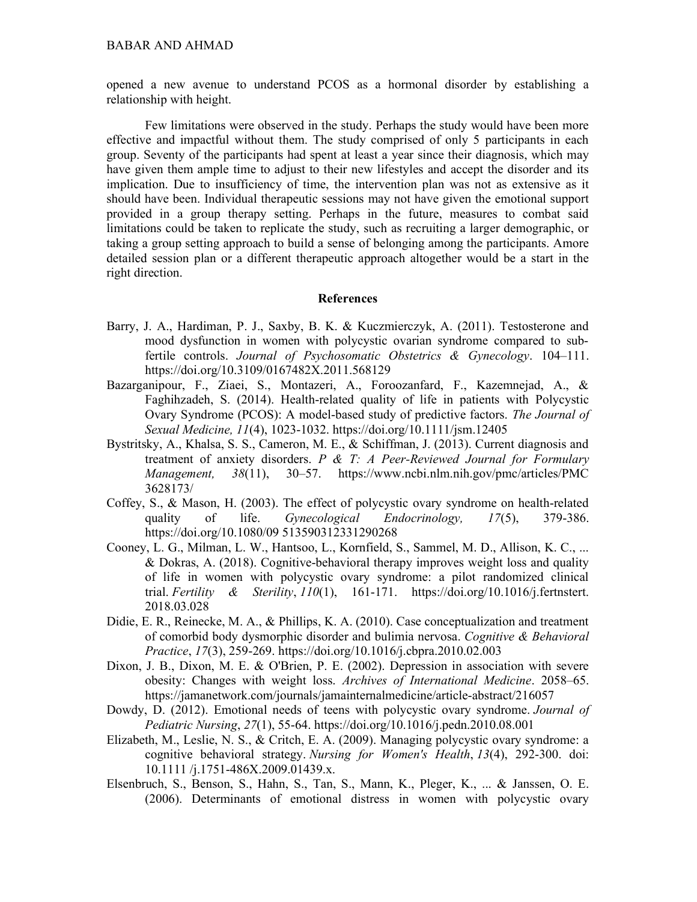### BABAR AND AHMAD

opened a new avenue to understand PCOS as a hormonal disorder by establishing a relationship with height.

Few limitations were observed in the study. Perhaps the study would have been more effective and impactful without them. The study comprised of only 5 participants in each group. Seventy of the participants had spent at least a year since their diagnosis, which may have given them ample time to adjust to their new lifestyles and accept the disorder and its implication. Due to insufficiency of time, the intervention plan was not as extensive as it should have been. Individual therapeutic sessions may not have given the emotional support provided in a group therapy setting. Perhaps in the future, measures to combat said limitations could be taken to replicate the study, such as recruiting a larger demographic, or taking a group setting approach to build a sense of belonging among the participants. Amore detailed session plan or a different therapeutic approach altogether would be a start in the right direction.

## References

- Barry, J. A., Hardiman, P. J., Saxby, B. K. & Kuczmierczyk, A. (2011). Testosterone and mood dysfunction in women with polycystic ovarian syndrome compared to subfertile controls. Journal of Psychosomatic Obstetrics & Gynecology. 104–111. https://doi.org/10.3109/0167482X.2011.568129
- Bazarganipour, F., Ziaei, S., Montazeri, A., Foroozanfard, F., Kazemnejad, A., & Faghihzadeh, S. (2014). Health-related quality of life in patients with Polycystic Ovary Syndrome (PCOS): A model-based study of predictive factors. The Journal of Sexual Medicine, 11(4), 1023-1032. https://doi.org/10.1111/jsm.12405
- Bystritsky, A., Khalsa, S. S., Cameron, M. E., & Schiffman, J. (2013). Current diagnosis and treatment of anxiety disorders. P  $\&$  T: A Peer-Reviewed Journal for Formulary Management, 38(11), 30–57. https://www.ncbi.nlm.nih.gov/pmc/articles/PMC 3628173/
- Coffey, S., & Mason, H. (2003). The effect of polycystic ovary syndrome on health-related quality of life. Gynecological Endocrinology, 17(5), 379-386. https://doi.org/10.1080/09 513590312331290268
- Cooney, L. G., Milman, L. W., Hantsoo, L., Kornfield, S., Sammel, M. D., Allison, K. C., ... & Dokras, A. (2018). Cognitive-behavioral therapy improves weight loss and quality of life in women with polycystic ovary syndrome: a pilot randomized clinical trial. Fertility & Sterility,  $110(1)$ , 161-171. https://doi.org/10.1016/j.fertnstert. 2018.03.028
- Didie, E. R., Reinecke, M. A., & Phillips, K. A. (2010). Case conceptualization and treatment of comorbid body dysmorphic disorder and bulimia nervosa. Cognitive & Behavioral Practice, 17(3), 259-269. https://doi.org/10.1016/j.cbpra.2010.02.003
- Dixon, J. B., Dixon, M. E. & O'Brien, P. E. (2002). Depression in association with severe obesity: Changes with weight loss. Archives of International Medicine. 2058–65. https://jamanetwork.com/journals/jamainternalmedicine/article-abstract/216057
- Dowdy, D. (2012). Emotional needs of teens with polycystic ovary syndrome. Journal of Pediatric Nursing, 27(1), 55-64. https://doi.org/10.1016/j.pedn.2010.08.001
- Elizabeth, M., Leslie, N. S., & Critch, E. A. (2009). Managing polycystic ovary syndrome: a cognitive behavioral strategy. Nursing for Women's Health, 13(4), 292-300. doi: 10.1111 /j.1751-486X.2009.01439.x.
- Elsenbruch, S., Benson, S., Hahn, S., Tan, S., Mann, K., Pleger, K., ... & Janssen, O. E. (2006). Determinants of emotional distress in women with polycystic ovary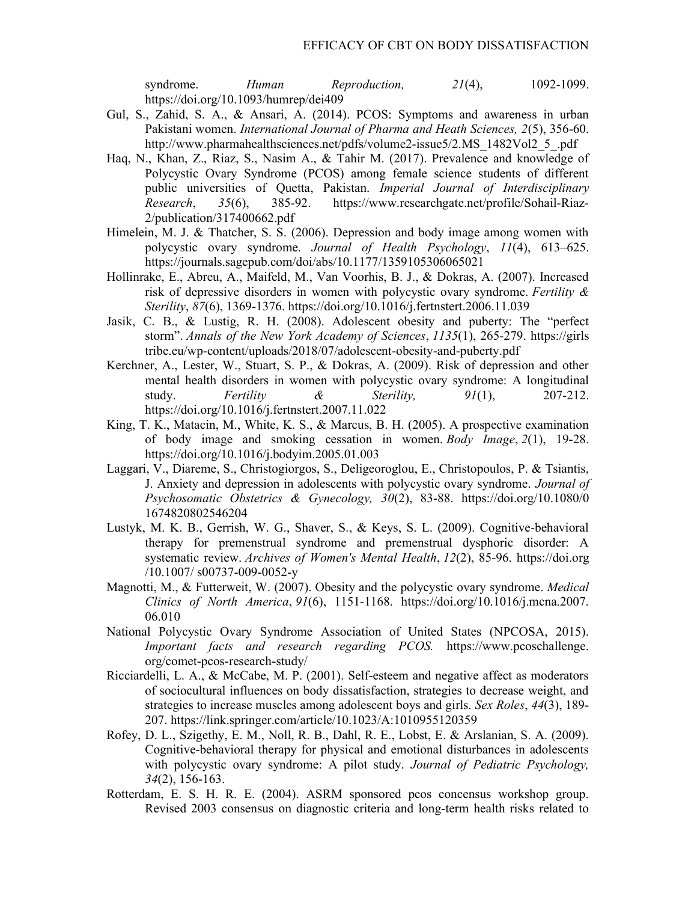syndrome. Human Reproduction,  $21(4)$ , 1092-1099. https://doi.org/10.1093/humrep/dei409

- Gul, S., Zahid, S. A., & Ansari, A. (2014). PCOS: Symptoms and awareness in urban Pakistani women. International Journal of Pharma and Heath Sciences, 2(5), 356-60. http://www.pharmahealthsciences.net/pdfs/volume2-issue5/2.MS\_1482Vol2\_5\_.pdf
- Haq, N., Khan, Z., Riaz, S., Nasim A., & Tahir M. (2017). Prevalence and knowledge of Polycystic Ovary Syndrome (PCOS) among female science students of different public universities of Quetta, Pakistan. Imperial Journal of Interdisciplinary Research, 35(6), 385-92. https://www.researchgate.net/profile/Sohail-Riaz-2/publication/317400662.pdf
- Himelein, M. J. & Thatcher, S. S. (2006). Depression and body image among women with polycystic ovary syndrome. Journal of Health Psychology, 11(4), 613–625. https://journals.sagepub.com/doi/abs/10.1177/1359105306065021
- Hollinrake, E., Abreu, A., Maifeld, M., Van Voorhis, B. J., & Dokras, A. (2007). Increased risk of depressive disorders in women with polycystic ovary syndrome. Fertility  $\&$ Sterility, 87(6), 1369-1376. https://doi.org/10.1016/j.fertnstert.2006.11.039
- Jasik, C. B., & Lustig, R. H. (2008). Adolescent obesity and puberty: The "perfect storm". Annals of the New York Academy of Sciences, 1135(1), 265-279. https://girls tribe.eu/wp-content/uploads/2018/07/adolescent-obesity-and-puberty.pdf
- Kerchner, A., Lester, W., Stuart, S. P., & Dokras, A. (2009). Risk of depression and other mental health disorders in women with polycystic ovary syndrome: A longitudinal study. Fertility & Sterility,  $91(1)$ ,  $207-212$ . https://doi.org/10.1016/j.fertnstert.2007.11.022
- King, T. K., Matacin, M., White, K. S., & Marcus, B. H. (2005). A prospective examination of body image and smoking cessation in women. Body Image, 2(1), 19-28. https://doi.org/10.1016/j.bodyim.2005.01.003
- Laggari, V., Diareme, S., Christogiorgos, S., Deligeoroglou, E., Christopoulos, P. & Tsiantis, J. Anxiety and depression in adolescents with polycystic ovary syndrome. Journal of Psychosomatic Obstetrics & Gynecology, 30(2), 83-88. https://doi.org/10.1080/0 1674820802546204
- Lustyk, M. K. B., Gerrish, W. G., Shaver, S., & Keys, S. L. (2009). Cognitive-behavioral therapy for premenstrual syndrome and premenstrual dysphoric disorder: A systematic review. Archives of Women's Mental Health, 12(2), 85-96. https://doi.org /10.1007/ s00737-009-0052-y
- Magnotti, M., & Futterweit, W. (2007). Obesity and the polycystic ovary syndrome. *Medical* Clinics of North America,  $91(6)$ , 1151-1168. https://doi.org/10.1016/j.mcna.2007. 06.010
- National Polycystic Ovary Syndrome Association of United States (NPCOSA, 2015). Important facts and research regarding PCOS. https://www.pcoschallenge. org/comet-pcos-research-study/
- Ricciardelli, L. A., & McCabe, M. P. (2001). Self-esteem and negative affect as moderators of sociocultural influences on body dissatisfaction, strategies to decrease weight, and strategies to increase muscles among adolescent boys and girls. Sex Roles, 44(3), 189- 207. https://link.springer.com/article/10.1023/A:1010955120359
- Rofey, D. L., Szigethy, E. M., Noll, R. B., Dahl, R. E., Lobst, E. & Arslanian, S. A. (2009). Cognitive-behavioral therapy for physical and emotional disturbances in adolescents with polycystic ovary syndrome: A pilot study. Journal of Pediatric Psychology, 34(2), 156-163.
- Rotterdam, E. S. H. R. E. (2004). ASRM sponsored pcos concensus workshop group. Revised 2003 consensus on diagnostic criteria and long-term health risks related to